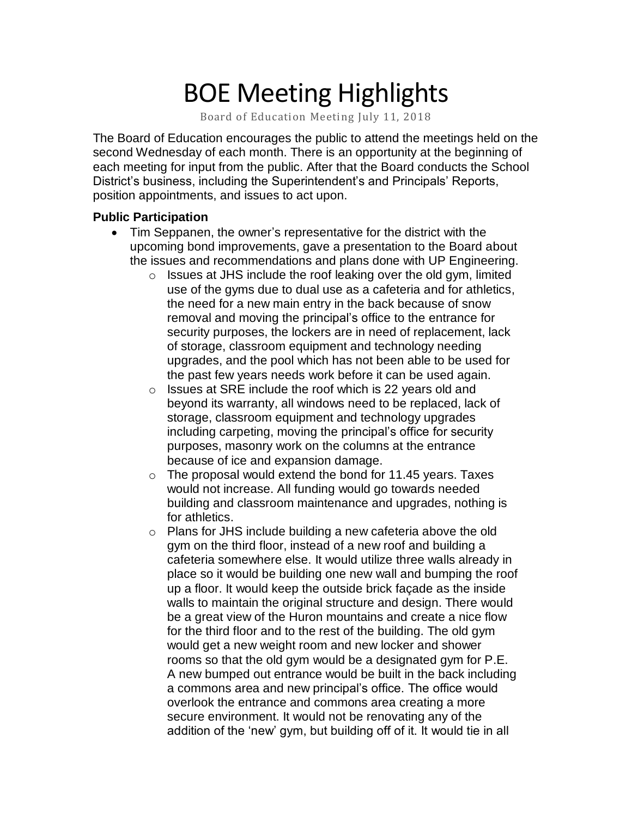# BOE Meeting Highlights

Board of Education Meeting July 11, 2018

 The Board of Education encourages the public to attend the meetings held on the second Wednesday of each month. There is an opportunity at the beginning of each meeting for input from the public. After that the Board conducts the School District's business, including the Superintendent's and Principals' Reports, position appointments, and issues to act upon.

#### **Public Participation**

- • Tim Seppanen, the owner's representative for the district with the upcoming bond improvements, gave a presentation to the Board about the issues and recommendations and plans done with UP Engineering.
	- $\circ$  Issues at JHS include the roof leaking over the old gym, limited use of the gyms due to dual use as a cafeteria and for athletics, the need for a new main entry in the back because of snow removal and moving the principal's office to the entrance for security purposes, the lockers are in need of replacement, lack of storage, classroom equipment and technology needing upgrades, and the pool which has not been able to be used for the past few years needs work before it can be used again.
	- $\circ$  Issues at SRE include the roof which is 22 years old and beyond its warranty, all windows need to be replaced, lack of storage, classroom equipment and technology upgrades including carpeting, moving the principal's office for security purposes, masonry work on the columns at the entrance because of ice and expansion damage.
	- $\circ$  The proposal would extend the bond for 11.45 years. Taxes would not increase. All funding would go towards needed building and classroom maintenance and upgrades, nothing is for athletics.
	- o Plans for JHS include building a new cafeteria above the old gym on the third floor, instead of a new roof and building a cafeteria somewhere else. It would utilize three walls already in place so it would be building one new wall and bumping the roof up a floor. It would keep the outside brick façade as the inside walls to maintain the original structure and design. There would be a great view of the Huron mountains and create a nice flow for the third floor and to the rest of the building. The old gym would get a new weight room and new locker and shower rooms so that the old gym would be a designated gym for P.E. A new bumped out entrance would be built in the back including a commons area and new principal's office. The office would overlook the entrance and commons area creating a more secure environment. It would not be renovating any of the addition of the 'new' gym, but building off of it. It would tie in all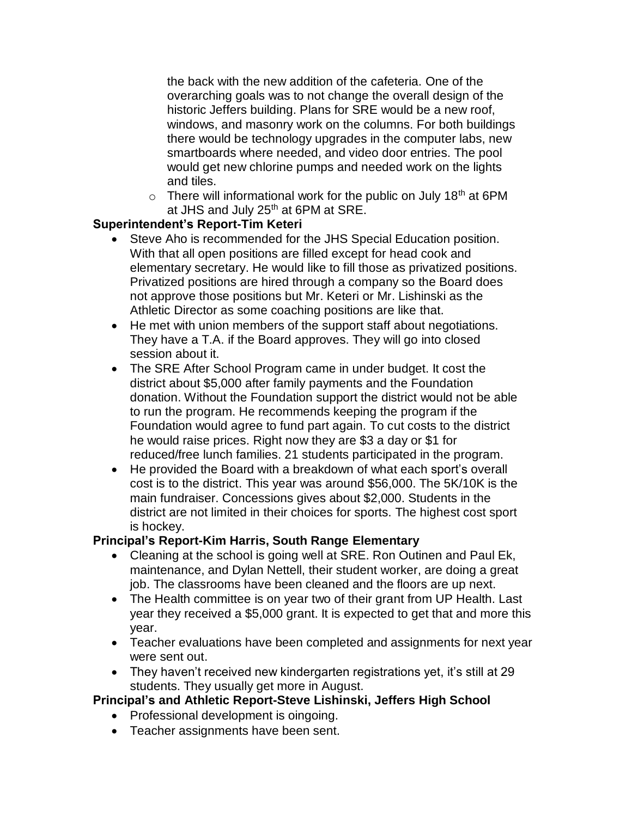the back with the new addition of the cafeteria. One of the overarching goals was to not change the overall design of the historic Jeffers building. Plans for SRE would be a new roof, windows, and masonry work on the columns. For both buildings there would be technology upgrades in the computer labs, new smartboards where needed, and video door entries. The pool would get new chlorine pumps and needed work on the lights and tiles.

 $\circ$  There will informational work for the public on July 18<sup>th</sup> at 6PM at JHS and July  $25<sup>th</sup>$  at 6PM at SRE.

### **Superintendent's Report-Tim Keteri**

- Steve Aho is recommended for the JHS Special Education position. With that all open positions are filled except for head cook and elementary secretary. He would like to fill those as privatized positions. Privatized positions are hired through a company so the Board does not approve those positions but Mr. Keteri or Mr. Lishinski as the Athletic Director as some coaching positions are like that.
- He met with union members of the support staff about negotiations. They have a T.A. if the Board approves. They will go into closed session about it.
- The SRE After School Program came in under budget. It cost the district about \$5,000 after family payments and the Foundation donation. Without the Foundation support the district would not be able to run the program. He recommends keeping the program if the Foundation would agree to fund part again. To cut costs to the district he would raise prices. Right now they are \$3 a day or \$1 for reduced/free lunch families. 21 students participated in the program.
- He provided the Board with a breakdown of what each sport's overall cost is to the district. This year was around \$56,000. The 5K/10K is the main fundraiser. Concessions gives about \$2,000. Students in the district are not limited in their choices for sports. The highest cost sport is hockey.

## **Principal's Report-Kim Harris, South Range Elementary**

- • Cleaning at the school is going well at SRE. Ron Outinen and Paul Ek, maintenance, and Dylan Nettell, their student worker, are doing a great job. The classrooms have been cleaned and the floors are up next.
- • The Health committee is on year two of their grant from UP Health. Last year they received a \$5,000 grant. It is expected to get that and more this year.
- • Teacher evaluations have been completed and assignments for next year were sent out.
- • They haven't received new kindergarten registrations yet, it's still at 29 students. They usually get more in August.

## **Principal's and Athletic Report-Steve Lishinski, Jeffers High School**

- Professional development is oingoing.
- Teacher assignments have been sent.